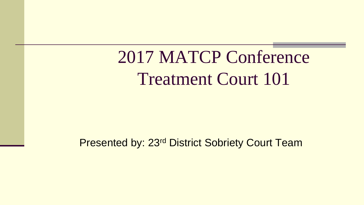2017 MATCP Conference Treatment Court 101

Presented by: 23rd District Sobriety Court Team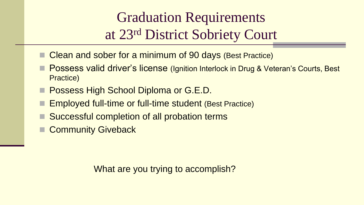#### Graduation Requirements at 23rd District Sobriety Court

- Clean and sober for a minimum of 90 days (Best Practice)
- Possess valid driver's license (Ignition Interlock in Drug & Veteran's Courts, Best Practice)
- Possess High School Diploma or G.E.D.
- Employed full-time or full-time student (Best Practice)
- Successful completion of all probation terms
- **Community Giveback**

What are you trying to accomplish?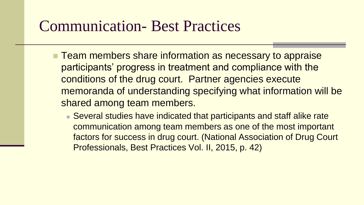#### Communication- Best Practices

- **Team members share information as necessary to appraise** participants' progress in treatment and compliance with the conditions of the drug court. Partner agencies execute memoranda of understanding specifying what information will be shared among team members.
	- Several studies have indicated that participants and staff alike rate communication among team members as one of the most important factors for success in drug court. (National Association of Drug Court Professionals, Best Practices Vol. II, 2015, p. 42)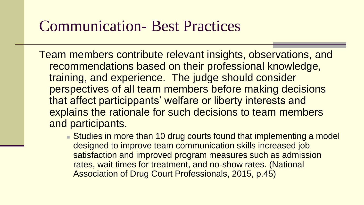#### Communication- Best Practices

Team members contribute relevant insights, observations, and recommendations based on their professional knowledge, training, and experience. The judge should consider perspectives of all team members before making decisions that affect particippants' welfare or liberty interests and explains the rationale for such decisions to team members and participants.

■ Studies in more than 10 drug courts found that implementing a model designed to improve team communication skills increased job satisfaction and improved program measures such as admission rates, wait times for treatment, and no-show rates. (National Association of Drug Court Professionals, 2015, p.45)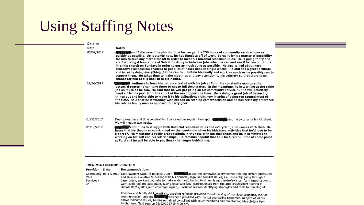## Using Staffing Notes

| Details:   |                                                                                                                                                                                                                                                                                                                                                                                                                                                                                                                                                                                                                                                                                                                                                                                                                                                                                                                                                                                                                                                            |  |
|------------|------------------------------------------------------------------------------------------------------------------------------------------------------------------------------------------------------------------------------------------------------------------------------------------------------------------------------------------------------------------------------------------------------------------------------------------------------------------------------------------------------------------------------------------------------------------------------------------------------------------------------------------------------------------------------------------------------------------------------------------------------------------------------------------------------------------------------------------------------------------------------------------------------------------------------------------------------------------------------------------------------------------------------------------------------------|--|
| Date       | Notes                                                                                                                                                                                                                                                                                                                                                                                                                                                                                                                                                                                                                                                                                                                                                                                                                                                                                                                                                                                                                                                      |  |
| 03/02/2017 | <b>All and the state of the state of the state of the State of State State of State State State State State State State State State State State State State State State State State State State State State State State State St</b><br>quickly as possible. As it stands now, he has Sundays off of work. It really isn't a matter of possibility<br>for him to take any more time off in order to meet his financial responsibilities. He is going to try and<br>start working 4 hour shifts at Salvation Army in between jobs when he can and see if he can put hours<br>in at his church on Sundays in order to get as much done as possible. He also talked about Ford<br>shutdowns as possible chances to get a lot of hours done in single weeks. He still has a great attitude<br>and is really doing everything that he can to maintain his family and work as much as he possibly can to<br>support them.  He takes time to make meetings and pay attention to his sobriety so that there is no<br>chance for him to slip back in to old habits. |  |
| 02/16/2017 | <b>按数据数</b> continues to have his patience tested with his job at Ford.He constantly monitors the<br>potential routes he can take there to get to full time status. In the meantime, he is working at the cable<br>job as much as he can. He said that he will get going on his community service but he will definitely<br>need a friendly push from the court at the next opportune time. He is doing a great job of balancing<br>things out and being able to make it to his obligations right now in spite of being run ragged most of<br>the time. Said that he is working with his son on reading comprehension and he has certainly embraced<br>his role as family man as opposed to party goer.                                                                                                                                                                                                                                                                                                                                                    |  |
| 01/31/2017 | Due to weather and time constraints, I canceled our regular 7am appt. <b>Examples</b> bent me pictures of his AA sheet.<br>We will meet in two weeks.                                                                                                                                                                                                                                                                                                                                                                                                                                                                                                                                                                                                                                                                                                                                                                                                                                                                                                      |  |
| 01/19/2017 | continues to struggle with financial responsibilities and everything that comes with that.  He with that $\mu$<br>hates that his time is so constrained on the weekends when his kids have activities that he'd love to be<br>a part of. He maintains a really great attitude in the face of these challenges and he is committed to<br>working on himself and his relationships. He remains hopeful that he'll be hired full time at some point<br>at Ford and he will be able to put these challenges behind him.                                                                                                                                                                                                                                                                                                                                                                                                                                                                                                                                        |  |
|            |                                                                                                                                                                                                                                                                                                                                                                                                                                                                                                                                                                                                                                                                                                                                                                                                                                                                                                                                                                                                                                                            |  |

#### TREATMENT RECOMMENDATION

| Provider                  | Date | Recommendations                                                                                                                                                                                                                                                                                                                                                                                                                                                                                                                                                                           |
|---------------------------|------|-------------------------------------------------------------------------------------------------------------------------------------------------------------------------------------------------------------------------------------------------------------------------------------------------------------------------------------------------------------------------------------------------------------------------------------------------------------------------------------------------------------------------------------------------------------------------------------------|
| Care<br>Services -<br>LP. |      | Community 01/17/2017 Last Payment Date:    Balance Due:    金額羅爾爵 appearing somewhat overwhelmed relating current pressures<br>and stressors relative to dealing with his financial, legal and familial issues; i.e., currently going through a<br>bankruptcy, working two jobs to make ends meet, having to drive his mother-in-law's car for transportation to<br>work cable job and auto plant, facing uncertain legal consequences from the auto crash(court hearing in<br>Livonia 01/17/2017, auto coverage lapsed). Focus of session identifying strategies and tools to handling of |
|                           |      | tinances and family debt. marital counseling referrals provided for addressing of marriage problems, lack of<br>communication, and etc. www. has been provided with marital counseling resources. In spite of all the<br>above indicated issues, he has remained compliant with court mandates and maintaining his sobriety from<br>alcohol use. Next session 02/13/2017 @ 7:00 pm.                                                                                                                                                                                                       |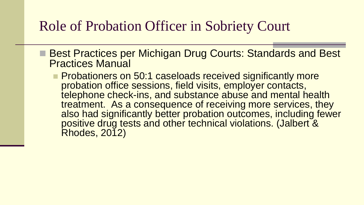#### Role of Probation Officer in Sobriety Court

- Best Practices per Michigan Drug Courts: Standards and Best Practices Manual
	- **Probationers on 50:1 caseloads received significantly more** probation office sessions, field visits, employer contacts, telephone check-ins, and substance abuse and mental health treatment. As a consequence of receiving more services, they also had significantly better probation outcomes, including fewer positive drug tests and other technical violations. (Jalbert & **Rhodes, 2012)**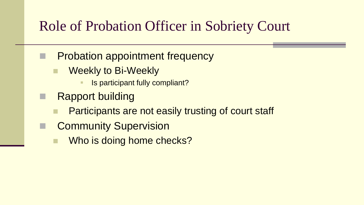#### Role of Probation Officer in Sobriety Court

- **Probation appointment frequency** 
	- Weekly to Bi-Weekly
		- Is participant fully compliant?
- Rapport building
	- Participants are not easily trusting of court staff
- Community Supervision
	- Who is doing home checks?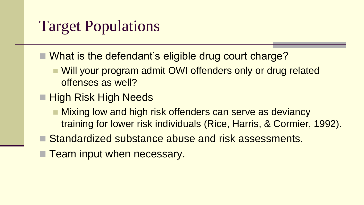## Target Populations

- What is the defendant's eligible drug court charge?
	- Will your program admit OWI offenders only or drug related offenses as well?
- **High Risk High Needs** 
	- Mixing low and high risk offenders can serve as deviancy training for lower risk individuals (Rice, Harris, & Cormier, 1992).
- Standardized substance abuse and risk assessments.
- **Team input when necessary.**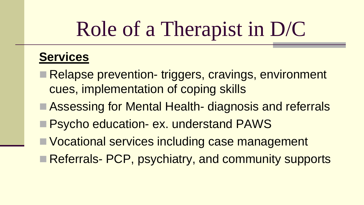# Role of a Therapist in D/C

#### **Services**

- Relapse prevention- triggers, cravings, environment cues, implementation of coping skills
- Assessing for Mental Health- diagnosis and referrals
- **Psycho education- ex. understand PAWS**
- Vocational services including case management
- Referrals- PCP, psychiatry, and community supports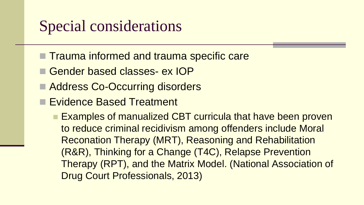#### Special considerations

- Trauma informed and trauma specific care
- Gender based classes- ex IOP
- Address Co-Occurring disorders
- **Evidence Based Treatment** 
	- **Examples of manualized CBT curricula that have been proven** to reduce criminal recidivism among offenders include Moral Reconation Therapy (MRT), Reasoning and Rehabilitation (R&R), Thinking for a Change (T4C), Relapse Prevention Therapy (RPT), and the Matrix Model. (National Association of Drug Court Professionals, 2013)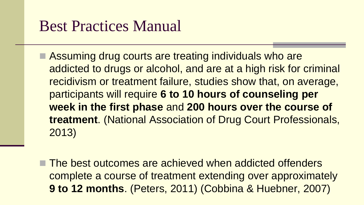#### Best Practices Manual

- Assuming drug courts are treating individuals who are addicted to drugs or alcohol, and are at a high risk for criminal recidivism or treatment failure, studies show that, on average, participants will require **6 to 10 hours of counseling per week in the first phase** and **200 hours over the course of treatment**. (National Association of Drug Court Professionals, 2013)
- The best outcomes are achieved when addicted offenders complete a course of treatment extending over approximately **9 to 12 months**. (Peters, 2011) (Cobbina & Huebner, 2007)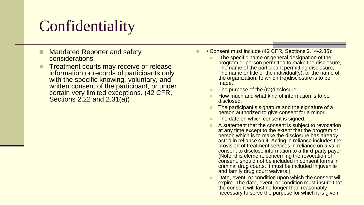## **Confidentiality**

- Mandated Reporter and safety considerations
- Treatment courts may receive or release information or records of participants only with the specific knowing, voluntary, and written consent of the participant, or under certain very limited exceptions. (42 CFR, Sections 2.22 and 2.31(a))
- • Consent must include (42 CFR, Sections 2.14-2.35):
	- The specific name or general designation of the program or person permitted to make the disclosure, The name of the participant permitting disclosure, The name or title of the individual(s), or the name of the organization, to which (re)disclosure is to be made.
	- The purpose of the (re)disclosure.
	- How much and what kind of information is to be disclosed.
	- The participant's signature and the signature of a person authorized to give consent for a minor.
	- The date on which consent is signed.
	- A statement that the consent is subject to revocation at any time except to the extent that the program or person which is to make the disclosure has already acted in reliance on it. Acting in reliance includes the provision of treatment services in reliance on a valid consent to disclose information to a third-party payer. (Note: this element, concerning the revocation of consent, should not be included in consent forms in criminal drug courts. It must be included in juvenile and family drug court waivers.)
	- Date, event, or condition upon which the consent will expire. The date, event, or condition must insure that the consent will last no longer than reasonably necessary to serve the purpose for which it is given.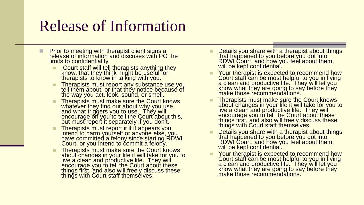#### Release of Information

- Prior to meeting with therapist client signs a release of information and discuses with PO the limits to confidentiality
	- Court staff will tell therapists anything they know, that they think might be useful for therapists to know in talking with you.
	- **Therapists must report any substance use you** tell them about, or that they notice because of the way you act, look, sound, or smell.
	- Therapists must make sure the Court knows whatever they find out about why you use, and what triggers you to use. They will encourage on you to tell the Court about this, but must report it separately if you don't.
	- **Therapists must report it if it appears you** intend to harm yourself or anyone else, you have committed a felony since starting RDWI Court, or you intend to commit a felony.
	- Therapists must make sure the Court knows about changes in your life it will take for you to live a clean and productive life. They will encourage you to tell the Court about these things first, and also will freely discuss these things with Court staff themselves.
- Details you share with a therapist about things that happened to you before you got into RDWI Court, and how you feel about them, will be kept confidential.
- Your therapist is expected to recommend how Court staff can be most helpful to you in living a clean and productive life. They will let you know what they are going to say before they make those recommendations.
- Therapists must make sure the Court knows about changes in your life it will take for you to live a clean and productive life. They will encourage you to tell the Court about these things first, and also will freely discuss these things with Court staff themsélves.
- Details you share with a therapist about things that happened to you before you got into RDWI Court, and how you feel about them, will be kept confidential.
- Your therapist is expected to recommend how Court staff can be most helpful to you in living a clean and productive life. They will let you know what they are going to say before they make those recommendations.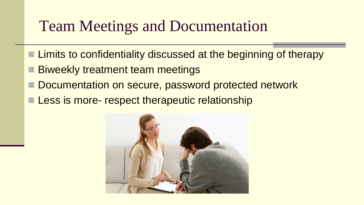#### Team Meetings and Documentation

- **Limits to confidentiality discussed at the beginning of therapy**
- Biweekly treatment team meetings
- Documentation on secure, password protected network
- Less is more- respect therapeutic relationship

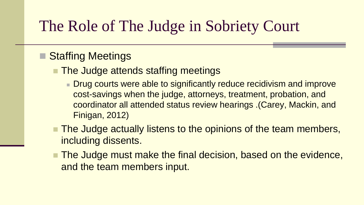#### The Role of The Judge in Sobriety Court

#### ■ Staffing Meetings

- The Judge attends staffing meetings
	- **Drug courts were able to significantly reduce recidivism and improve** cost-savings when the judge, attorneys, treatment, probation, and coordinator all attended status review hearings .(Carey, Mackin, and Finigan, 2012)
- The Judge actually listens to the opinions of the team members, including dissents.
- The Judge must make the final decision, based on the evidence, and the team members input.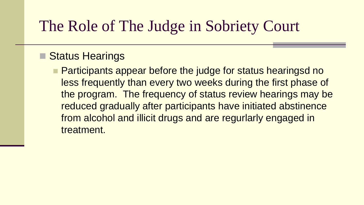#### The Role of The Judge in Sobriety Court

#### ■ Status Hearings

**Participants appear before the judge for status hearingsd no** less frequently than every two weeks during the first phase of the program. The frequency of status review hearings may be reduced gradually after participants have initiated abstinence from alcohol and illicit drugs and are regurlarly engaged in treatment.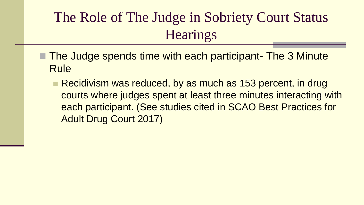#### The Role of The Judge in Sobriety Court Status **Hearings**

- The Judge spends time with each participant- The 3 Minute Rule
	- Recidivism was reduced, by as much as 153 percent, in drug courts where judges spent at least three minutes interacting with each participant. (See studies cited in SCAO Best Practices for Adult Drug Court 2017)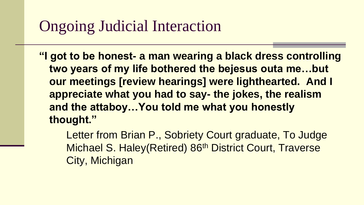## Ongoing Judicial Interaction

- **"I got to be honest- a man wearing a black dress controlling two years of my life bothered the bejesus outa me…but our meetings [review hearings] were lighthearted. And I appreciate what you had to say- the jokes, the realism and the attaboy…You told me what you honestly thought."**
	- Letter from Brian P., Sobriety Court graduate, To Judge Michael S. Haley(Retired) 86<sup>th</sup> District Court, Traverse City, Michigan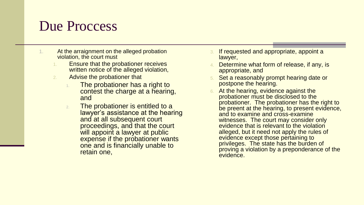#### Due Proccess

- 1. At the arraignment on the alleged probation violation, the court must
	- Ensure that the probationer receives written notice of the alleged violation,
	- 2. Advise the probationer that
		- 1. The probationer has a right to contest the charge at a hearing, and
		- 2. The probationer is entitled to a lawyer's assistance at the hearing and at all subsequent court proceedings, and that the court will appoint a lawyer at public expense if the probationer wants one and is financially unable to retain one,
- If requested and appropriate, appoint a lawyer,
- Determine what form of release, if any, is appropriate, and
- Set a reasonably prompt hearing date or postpone the hearing.
- At the hearing, evidence against the probationer must be disclosed to the probationer. The probationer has the right to be preent at the hearing, to present evidence, and to examine and cross-examine witnesses. The court may consider only evidence that is relevant to the violation alleged, but it need not apply the rules of evidence except those pertaining to privileges. The state has the burden of proving a violation by a preponderance of the evidence.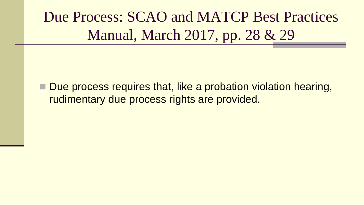Due Process: SCAO and MATCP Best Practices Manual, March 2017, pp. 28 & 29

■ Due process requires that, like a probation violation hearing, rudimentary due process rights are provided.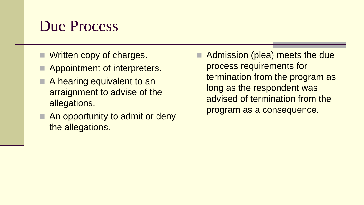#### Due Process

- **Net Written copy of charges.**
- Appointment of interpreters.
- A hearing equivalent to an arraignment to advise of the allegations.
- An opportunity to admit or deny the allegations.

 Admission (plea) meets the due process requirements for termination from the program as long as the respondent was advised of termination from the program as a consequence.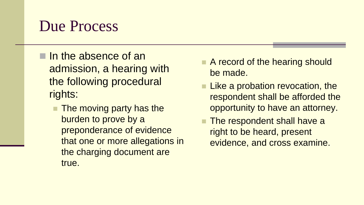#### Due Process

- $\blacksquare$  In the absence of an admission, a hearing with the following procedural rights:
	- **The moving party has the** burden to prove by a preponderance of evidence that one or more allegations in the charging document are true.
- A record of the hearing should be made.
- **Like a probation revocation, the** respondent shall be afforded the opportunity to have an attorney.
- **The respondent shall have a** right to be heard, present evidence, and cross examine.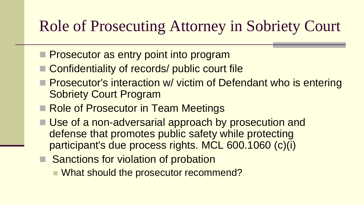#### Role of Prosecuting Attorney in Sobriety Court

- **Prosecutor as entry point into program**
- Confidentiality of records/ public court file
- **Prosecutor's interaction w/ victim of Defendant who is entering** Sobriety Court Program
- Role of Prosecutor in Team Meetings
- Use of a non-adversarial approach by prosecution and defense that promotes public safety while protecting participant's due process rights. MCL 600.1060 (c)(i)
- Sanctions for violation of probation
	- What should the prosecutor recommend?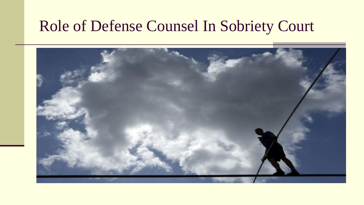#### Role of Defense Counsel In Sobriety Court

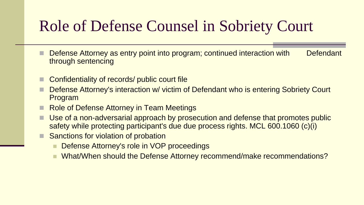## Role of Defense Counsel in Sobriety Court

- Defense Attorney as entry point into program; continued interaction with Defendant through sentencing
- Confidentiality of records/ public court file
- Defense Attorney's interaction w/ victim of Defendant who is entering Sobriety Court Program
- Role of Defense Attorney in Team Meetings
- Use of a non-adversarial approach by prosecution and defense that promotes public safety while protecting participant's due due process rights. MCL 600.1060 (c)(i)
- Sanctions for violation of probation
	- Defense Attorney's role in VOP proceedings
	- What/When should the Defense Attorney recommend/make recommendations?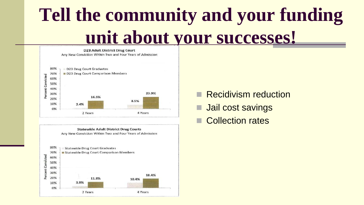# **Tell the community and your funding unit about your successes!**

**D23 Adult District Drug Court** Any New Conviction Within Two and Four Years of Admission 80% D23 Drug Court Graduates D23 Drug Court Comparison Members 70% rent Convicted 60% 50% 40% 23.9% 30% **Per** 16.5% 20% 8.5% 10% 2.4% 0% 4 Years 2 Years

**Statewide Adult District Drug Courts** Any New Conviction Within Two and Four Years of Admission 80% **Statewide Drug Court Graduates** Statewide Drug Court Comparison Members 70% cent Convicted 60% 50% 40% 30% 18.4% 20% 11.8% 10.4% 10% 3.9% 0% 2 Years 4 Years

Recidivism reduction

- Jail cost savings
- Collection rates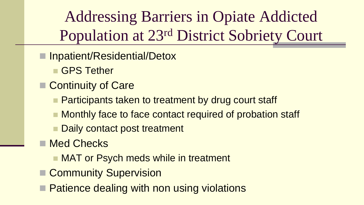Addressing Barriers in Opiate Addicted Population at 23rd District Sobriety Court

- Inpatient/Residential/Detox
	- GPS Tether
- Continuity of Care
	- **Participants taken to treatment by drug court staff**
	- Monthly face to face contact required of probation staff
	- Daily contact post treatment
- Med Checks
	- **NAT or Psych meds while in treatment**
- Community Supervision
- **Patience dealing with non using violations**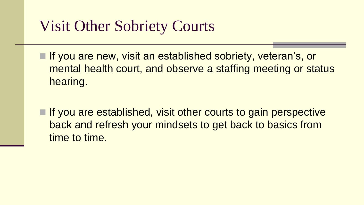#### Visit Other Sobriety Courts

- If you are new, visit an established sobriety, veteran's, or mental health court, and observe a staffing meeting or status hearing.
- $\blacksquare$  If you are established, visit other courts to gain perspective back and refresh your mindsets to get back to basics from time to time.